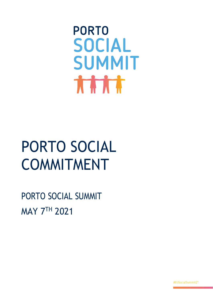**PORTO SOCIAL** SUMMIT **THAT** 

## PORTO SOCIAL COMMITMENT

PORTO SOCIAL SUMMIT MAY 7TH 2021

#EUSocialSummit21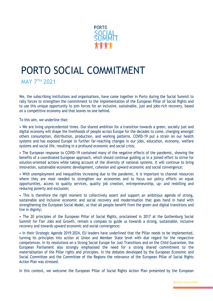

## PORTO SOCIAL COMMITMENT

**MAY 7TH 2021** 

We, the subscribing institutions and organisations, have come together in Porto during the Social Summit to rally forces to strengthen the commitment to the implementation of the European Pillar of Social Rights and to use this unique opportunity to join forces for an inclusive, sustainable, just and jobs-rich recovery, based on a competitive economy and that leaves no one behind.

To this aim, we underline that:

• We are living unprecedented times. Our shared ambition for a transition towards a green, socially just and digital economy will shape the livelihoods of people across Europe for the decades to come, changing amongst others consumption, distribution, production, and working patterns. COVID-19 put a strain on our health systems and has exposed Europe to further far-reaching changes in our jobs, education, economy, welfare systems and social life, resulting in a profound economic and social crisis;

• The European response to COVID-19 contained many of the negative effects of the pandemic, showing the benefits of a coordinated European approach, which should continue guiding us in a joined effort to strive for solution-oriented actions while taking account of the diversity of national systems. It will continue to bring innovation, sustainable economic development, cohesion and upward economic and social convergence;

• With unemployment and inequalities increasing due to the pandemic, it is important to channel resources where they are most needed to strengthen our economies and to focus our policy efforts on equal opportunities, access to quality services, quality job creation, entrepreneurship, up- and reskilling and reducing poverty and exclusion;

• This is therefore the right moment to collectively assert and support an ambitious agenda of strong, sustainable and inclusive economic and social recovery and modernisation that goes hand in hand with strengthening the European Social Model, so that all people benefit from the green and digital transitions and live in dignity;

• The 20 principles of the European Pillar of Social Rights, proclaimed in 2017 at the Gothenburg Social Summit for Fair Jobs and Growth, remain a compass to guide us towards a strong, sustainable, inclusive recovery and towards upward economic and social convergence;

• In their Strategic Agenda 2019-2024, EU leaders have underlined that the Pillar needs to be implemented, turning its principles into action at Union and Member State level with due regard for the respective competences. In its resolutions on a Strong Social Europe for Just Transitions and on the Child Guarantee, the European Parliament also strongly emphasised the need for a strong shared commitment to the materialisation of the Pillar rights and principles. In the debates developed by the European Economic and Social Committee and the Committee of the Regions the relevance of the European Pillar of Social Rights Action Plan was stressed.

In this context, we welcome the European Pillar of Social Rights Action Plan presented by the European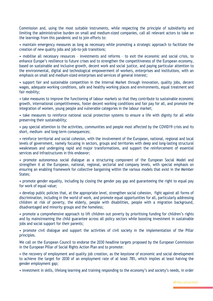Commission and, using the most suitable instruments, while respecting the principle of subsidiarity and limiting the administrative burden on small and medium-sized companies, call all relevant actors to take on the learnings from this pandemic and to join efforts to:

• maintain emergency measures as long as necessary while promoting a strategic approach to facilitate the creation of new quality jobs and job-to-job transitions;

• mobilise all necessary resources – investments and reforms – to exit the economic and social crisis, to enhance Europe's resilience to future crises and to strengthen the competitiveness of the European economy, based on sustainable and inclusive growth, decent work and social justice, and paying particular attention to the environmental, digital and technological empowerment of workers, enterprises and institutions, with an emphasis on small and medium-sized enterprises and services of general interest;

• support fair and sustainable competition in the Internal Market through innovation, quality jobs, decent wages, adequate working conditions, safe and healthy working places and environments, equal treatment and fair mobility;

• take measures to improve the functioning of labour markets so that they contribute to sustainable economic growth, international competitiveness, foster decent working conditions and fair pay for all, and promote the integration of women, young people and vulnerable categories in the labour market;

• take measures to reinforce national social protection systems to ensure a life with dignity for all while preserving their sustainability;

• pay special attention to the activities, communities and people most affected by the COVID19 crisis and its short, medium- and long-term consequences;

• reinforce territorial and social cohesion, with the involvement of the European, national, regional and local levels of government, namely focusing in sectors, groups and territories with deep and long-lasting structural weaknesses and undergoing rapid and major transformations, and support the reinforcement of essential services and infrastructures in this endeavor;

• promote autonomous social dialogue as a structuring component of the European Social Model and strengthen it at the European, national, regional, sectorial and company levels, with special emphasis on ensuring an enabling framework for collective bargaining within the various models that exist in the Member States;

• promote gender equality, including by closing the gender pay gap and guaranteeing the right to equal pay for work of equal value;

• develop public policies that, at the appropriate level, strengthen social cohesion, fight against all forms of discrimination, including in the world of work, and promote equal opportunities for all, particularly addressing children at risk of poverty, the elderly, people with disabilities, people with a migration background, disadvantaged and minority groups and the homeless;

• promote a comprehensive approach to lift children out poverty by prioritising funding for children's rights and by mainstreaming the child guarantee across all policy sectors while boosting investment in sustainable jobs and social support for their parents;

• promote civil dialogue and support the activities of civil society in the implementation of the Pillar principles.

We call on the European Council to endorse the 2030 headline targets proposed by the European Commission in the European Pillar of Social Rights Action Plan and to promote:

• the recovery of employment and quality job creation, as the keystone of economic and social development to achieve the target for 2030 of an employment rate of at least 78%, which implies at least halving the gender employment gap;

• investment in skills, lifelong learning and training responding to the economy's and society's needs, in order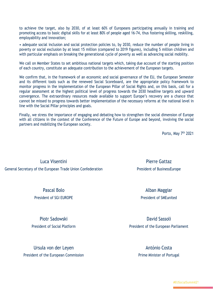to achieve the target, also by 2030, of at least 60% of Europeans participating annually in training and promoting access to basic digital skills for at least 80% of people aged 16-74, thus fostering skilling, reskilling, employability and innovation;

• adequate social inclusion and social protection policies to, by 2030, reduce the number of people living in poverty or social exclusion by at least 15 million (compared to 2019 figures), including 5 million children and with particular emphasis on breaking the generational cycle of poverty as well as advancing social mobility.

We call on Member States to set ambitious national targets which, taking due account of the starting position of each country, constitute an adequate contribution to the achievement of the European targets.

We confirm that, in the framework of an economic and social governance of the EU, the European Semester and its different tools such as the renewed Social Scoreboard, are the appropriate policy framework to monitor progress in the implementation of the European Pillar of Social Rights and, on this basis, call for a regular assessment at the highest political level of progress towards the 2030 headline targets and upward convergence. The extraordinary resources made available to support Europe's recovery are a chance that cannot be missed to progress towards better implementation of the necessary reforms at the national level in line with the Social Pillar principles and goals.

Finally, we stress the importance of engaging and debating how to strengthen the social dimension of Europe with all citizens in the context of the Conference of the Future of Europe and beyond, involving the social partners and mobilizing the European society.

Porto, May 7<sup>th</sup> 2021

Luca Visentini General Secretary of the European Trade Union Confederation

> Pascal Bolo President of SGI EUROPE

Piotr Sadowski President of Social Platform

Ursula von der Leyen President of the European Commission

Pierre Gattaz President of BusinessEurope

> Alban Maggiar President of SMEunited

David Sassoli President of the European Parliament

> António Costa Prime Minister of Portugal

> > #EUSocialSummit21